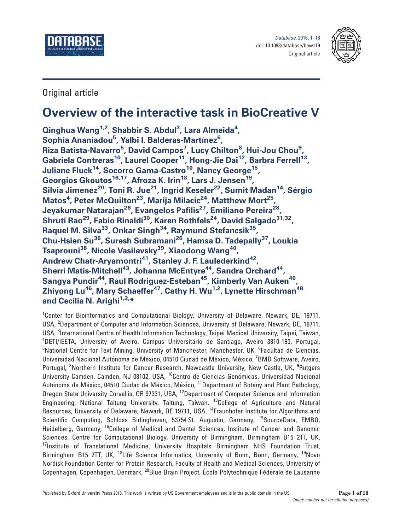



## Original article

# Overview of the interactive task in BioCreative V

 $\mathsf{Q}$ inghua Wang $^{1,2}$ , Shabbir S. Abdul $^3$ , Lara Almeida $^4$ , Sophia Ananiadou<sup>5</sup>, Yalbi I. Balderas-Martínez<sup>6</sup>, Riza Batista-Navarro<sup>5</sup>, David Campos<sup>7</sup>, Lucy Chilton<sup>8</sup>, Hui-Jou Chou<sup>9</sup>, Gabriela Contreras<sup>10</sup>, Laurel Cooper<sup>11</sup>, Hong-Jie Dai<sup>12</sup>, Barbra Ferrell<sup>13</sup>, Juliane Fluck<sup>14</sup>, Socorro Gama-Castro<sup>10</sup>, Nancy George<sup>15</sup>, Georgios Gkoutos<sup>16,17</sup>, Afroza K. Irin<sup>18</sup>, Lars J. Jensen<sup>19</sup>, Silvia Jimenez<sup>20</sup>, Toni R. Jue<sup>21</sup>, Ingrid Keseler<sup>22</sup>, Sumit Madan<sup>14</sup>, Sérgio Matos<sup>4</sup>, Peter McQuilton<sup>23</sup>, Marija Milacic<sup>24</sup>, Matthew Mort<sup>25</sup>, Jeyakumar Natarajan<sup>26</sup>, Evangelos Pafilis<sup>27</sup>, Emiliano Pereira<sup>28</sup> Shruti Rao<sup>29</sup>, Fabio Rinaldi<sup>30</sup>, Karen Rothfels<sup>24</sup>, David Salgado<sup>31,32</sup>, Raquel M. Silva<sup>33</sup>, Onkar Singh<sup>34</sup>, Raymund Stefancsik<sup>35</sup>, Chu-Hsien Su<sup>36</sup>, Suresh Subramani<sup>26</sup>, Hamsa D. Tadepally<sup>37</sup>, Loukia Tsaprouni<sup>38</sup>, Nicole Vasilevsky<sup>39</sup>, Xiaodong Wang<sup>40</sup>, Andrew Chatr-Aryamontri<sup>41</sup>, Stanley J. F. Laulederkind<sup>42</sup>, Sherri Matis-Mitchell<sup>43</sup>, Johanna McEntyre<sup>44</sup>, Sandra Orchard<sup>44</sup>, Sangya Pundir<sup>44</sup>, Raul Rodriguez-Esteban<sup>45</sup>, Kimberly Van Auken<sup>40</sup>, Zhiyong Lu<sup>46</sup>, Mary Schaeffer<sup>47</sup>, Cathy H. Wu<sup>1,2</sup>, Lynette Hirschman<sup>48</sup> and Cecilia N. Arighi $1.2.*$ 

<sup>1</sup>Center for Bioinformatics and Computational Biology, University of Delaware, Newark, DE, 19711, USA, <sup>2</sup>Department of Computer and Information Sciences, University of Delaware, Newark, DE, 19711, USA, <sup>3</sup>International Centre of Health Information Technology, Taipei Medical University, Taipei, Taiwan, <sup>4</sup>DETI/IEETA, University of Aveiro, Campus Universitário de Santiago, Aveiro 3810-193, Portugal, <sup>5</sup>National Centre for Text Mining, University of Manchester, Manchester, UK, <sup>6</sup>Facultad de Ciencias, Universidad Nacional Autónoma de México, 04510 Ciudad de México, México, <sup>7</sup>BMD Software, Aveiro, Portugal, <sup>8</sup>Northern Institute for Cancer Research, Newcastle University, New Castle, UK, <sup>9</sup>Rutgers University-Camden, Camden, NJ 08102, USA, <sup>10</sup>Centro de Ciencias Genómicas, Universidad Nacional Autónoma de México, 04510 Ciudad de México, México, <sup>11</sup>Department of Botany and Plant Pathology, Oregon State University Corvallis, OR 97331, USA, 12Department of Computer Science and Information Engineering, National Taitung University, Taitung, Taiwan, 13College of Agriculture and Natural Resources, University of Delaware, Newark, DE 19711, USA, <sup>14</sup>Fraunhofer Institute for Algorithms and Scientific Computing, Schloss Birlinghoven, 53754 St. Augustin, Germany, <sup>15</sup>SourceData, EMBO, Heidelberg, Germany, 16College of Medical and Dental Sciences, Institute of Cancer and Genomic Sciences, Centre for Computational Biology, University of Birmingham, Birmingham B15 2TT, UK, <sup>17</sup>Institute of Translational Medicine, University Hospitals Birmingham NHS Foundation Trust, Birmingham B15 2TT, UK, <sup>18</sup>Life Science Informatics, University of Bonn, Bonn, Germany, <sup>19</sup>Novo Nordisk Foundation Center for Protein Research, Faculty of Health and Medical Sciences, University of Copenhagen, Copenhagen, Denmark, <sup>20</sup>Blue Brain Project, École Polytechnique Fédérale de Lausanne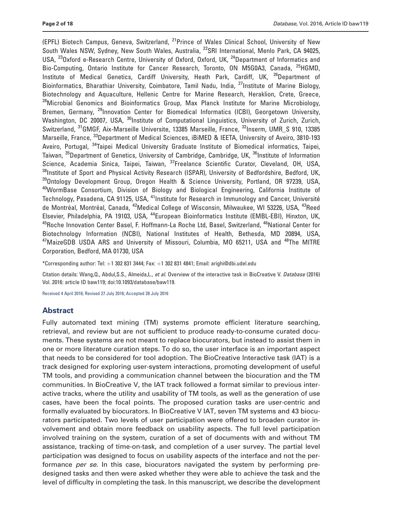(EPFL) Biotech Campus, Geneva, Switzerland, <sup>21</sup> Prince of Wales Clinical School, University of New South Wales NSW, Sydney, New South Wales, Australia, <sup>22</sup>SRI International, Menlo Park, CA 94025, USA, <sup>23</sup>Oxford e-Research Centre, University of Oxford, Oxford, UK, <sup>24</sup>Department of Informatics and Bio-Computing, Ontario Institute for Cancer Research, Toronto, ON M5G0A3, Canada, 25HGMD, Institute of Medical Genetics, Cardiff University, Heath Park, Cardiff, UK, <sup>26</sup>Department of Bioinformatics, Bharathiar University, Coimbatore, Tamil Nadu, India, <sup>27</sup>Institute of Marine Biology, Biotechnology and Aquaculture, Hellenic Centre for Marine Research, Heraklion, Crete, Greece,  $^{28}$ Microbial Genomics and Bioinformatics Group, Max Planck Institute for Marine Microbiology, Bremen, Germany, 29Innovation Center for Biomedical Informatics (ICBI), Georgetown University, Washington, DC 20007, USA, <sup>30</sup>Institute of Computational Linguistics, University of Zurich, Zurich, Switzerland, <sup>31</sup>GMGF, Aix-Marseille Universite, 13385 Marseille, France, <sup>32</sup>Inserm, UMR\_S 910, 13385 Marseille, France, <sup>33</sup>Department of Medical Sciences, iBiMED & IEETA, University of Aveiro, 3810-193 Aveiro, Portugal, <sup>34</sup>Taipei Medical University Graduate Institute of Biomedical informatics, Taipei, Taiwan, <sup>35</sup>Department of Genetics, University of Cambridge, Cambridge, UK, <sup>36</sup>Institute of Information Science, Academia Sinica, Taipei, Taiwan, <sup>37</sup>Freelance Scientific Curator, Cleveland, OH, USA, 38Institute of Sport and Physical Activity Research (ISPAR), University of Bedfordshire, Bedford, UK, 39Ontology Development Group, Oregon Health & Science University, Portland, OR 97239, USA, 40WormBase Consortium, Division of Biology and Biological Engineering, California Institute of Technology, Pasadena, CA 91125, USA,  $41$ Institute for Research in Immunology and Cancer, Université de Montréal, Montréal, Canada, <sup>42</sup>Medical College of Wisconsin, Milwaukee, WI 53226, USA, <sup>43</sup>Reed Elsevier, Philadelphia, PA 19103, USA, 44European Bioinformatics Institute (EMBL-EBI), Hinxton, UK, <sup>45</sup>Roche Innovation Center Basel, F. Hoffmann-La Roche Ltd, Basel, Switzerland, <sup>46</sup>National Center for Biotechnology Information (NCBI), National Institutes of Health, Bethesda, MD 20894, USA, <sup>47</sup>MaizeGDB USDA ARS and University of Missouri, Columbia, MO 65211, USA and <sup>48</sup>The MITRE Corporation, Bedford, MA 01730, USA

 $*$ Corresponding author: Tel:  $+1$  302 831 3444; Fax:  $+1$  302 831 4841; Email: arighi@dbi.udel.edu

Citation details: Wang, Q., Abdul, S.S., Almeida, L., et al. Overview of the interactive task in BioCreative V. Database (2016) Vol. 2016: article ID baw119; doi:10.1093/database/baw119.

Received 4 April 2016; Revised 27 July 2016; Accepted 28 July 2016

#### Abstract

Fully automated text mining (TM) systems promote efficient literature searching, retrieval, and review but are not sufficient to produce ready-to-consume curated documents. These systems are not meant to replace biocurators, but instead to assist them in one or more literature curation steps. To do so, the user interface is an important aspect that needs to be considered for tool adoption. The BioCreative Interactive task (IAT) is a track designed for exploring user-system interactions, promoting development of useful TM tools, and providing a communication channel between the biocuration and the TM communities. In BioCreative V, the IAT track followed a format similar to previous interactive tracks, where the utility and usability of TM tools, as well as the generation of use cases, have been the focal points. The proposed curation tasks are user-centric and formally evaluated by biocurators. In BioCreative V IAT, seven TM systems and 43 biocurators participated. Two levels of user participation were offered to broaden curator involvement and obtain more feedback on usability aspects. The full level participation involved training on the system, curation of a set of documents with and without TM assistance, tracking of time-on-task, and completion of a user survey. The partial level participation was designed to focus on usability aspects of the interface and not the performance per se. In this case, biocurators navigated the system by performing predesigned tasks and then were asked whether they were able to achieve the task and the level of difficulty in completing the task. In this manuscript, we describe the development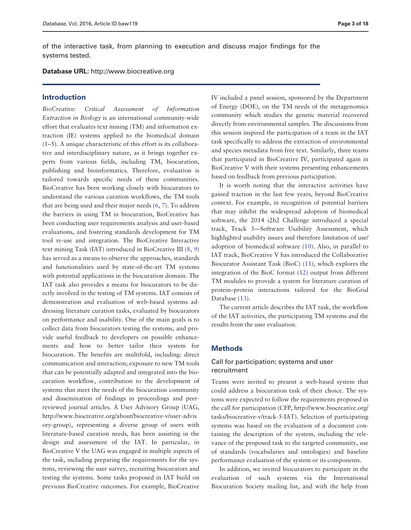of the interactive task, from planning to execution and discuss major findings for the systems tested.

Database URL: <http://www.biocreative.org>

#### Introduction

BioCreative: Critical Assessment of Information Extraction in Biology is an international community-wide effort that evaluates text mining (TM) and information extraction (IE) systems applied to the biomedical domain (1–5). A unique characteristic of this effort is its collaborative and interdisciplinary nature, as it brings together experts from various fields, including TM, biocuration, publishing and bioinformatics. Therefore, evaluation is tailored towards specific needs of these communities. BioCreative has been working closely with biocurators to understand the various curation workflows, the TM tools that are being used and their major needs ([6](#page-16-0), [7](#page-16-0)). To address the barriers in using TM in biocuration, BioCreative has been conducting user requirements analysis and user-based evaluations, and fostering standards development for TM tool re-use and integration. The BioCreative Interactive text mining Task (IAT) introduced in BioCreative III ([8,](#page-16-0) [9](#page-16-0)) has served as a means to observe the approaches, standards and functionalities used by state-of-the-art TM systems with potential applications in the biocuration domain. The IAT task also provides a means for biocurators to be directly involved in the testing of TM systems. IAT consists of demonstration and evaluation of web-based systems addressing literature curation tasks, evaluated by biocurators on performance and usability. One of the main goals is to collect data from biocurators testing the systems, and provide useful feedback to developers on possible enhancements and how to better tailor their system for biocuration. The benefits are multifold, including: direct communication and interaction; exposure to new TM tools that can be potentially adapted and integrated into the biocuration workflow, contribution to the development of systems that meet the needs of the biocuration community and dissemination of findings in proceedings and peerreviewed journal articles. A User Advisory Group (UAG, [http://www.biocreative.org/about/biocreative-v/user-advis](http://www.biocreative.org/about/biocreative-v/user-advisory-group) [ory-group](http://www.biocreative.org/about/biocreative-v/user-advisory-group)), representing a diverse group of users with literature-based curation needs, has been assisting in the design and assessment of the IAT. In particular, in BioCreative V the UAG was engaged in multiple aspects of the task, including preparing the requirements for the systems, reviewing the user survey, recruiting biocurators and testing the systems. Some tasks proposed in IAT build on previous BioCreative outcomes. For example, BioCreative

IV included a panel session, sponsored by the Department of Energy (DOE), on the TM needs of the metagenomics community which studies the genetic material recovered directly from environmental samples. The discussions from this session inspired the participation of a team in the IAT task specifically to address the extraction of environmental and species metadata from free text. Similarly, three teams that participated in BioCreative IV, participated again in BioCreative V with their systems presenting enhancements based on feedback from previous participation.

It is worth noting that the interactive activities have gained traction in the last few years, beyond BioCreative context. For example, in recognition of potential barriers that may inhibit the widespread adoption of biomedical software, the 2014 i2b2 Challenge introduced a special track, Track 3—Software Usability Assessment, which highlighted usability issues and therefore limitation of use/ adoption of biomedical software ([10\)](#page-16-0). Also, in parallel to IAT track, BioCreative V has introduced the Collaborative Biocurator Assistant Task (BioC) [\(11\)](#page-16-0), which explores the integration of the BioC format [\(12](#page-16-0)) output from different TM modules to provide a system for literature curation of protein–protein interactions tailored for the BioGrid Database ([13\)](#page-16-0).

The current article describes the IAT task, the workflow of the IAT activities, the participating TM systems and the results from the user evaluation.

#### **Methods**

### Call for participation: systems and user recruitment

Teams were invited to present a web-based system that could address a biocuration task of their choice. The systems were expected to follow the requirements proposed in the call for participation (CFP, [http://www.biocreative.org/](http://www.biocreative.org/tasks/biocreative-v/track-5-IAT) [tasks/biocreative-v/track-5-IAT](http://www.biocreative.org/tasks/biocreative-v/track-5-IAT)). Selection of participating systems was based on the evaluation of a document containing the description of the system, including the relevance of the proposed task to the targeted community, use of standards (vocabularies and ontologies) and baseline performance evaluation of the system or its components.

In addition, we invited biocurators to participate in the evaluation of such systems via the International Biocuration Society mailing list, and with the help from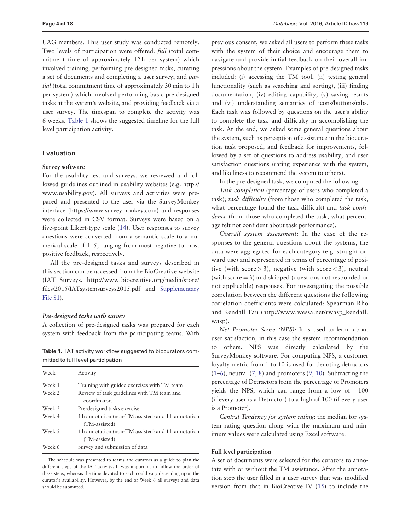UAG members. This user study was conducted remotely. Two levels of participation were offered: full (total commitment time of approximately 12 h per system) which involved training, performing pre-designed tasks, curating a set of documents and completing a user survey; and partial (total commitment time of approximately 30 min to 1 h per system) which involved performing basic pre-designed tasks at the system's website, and providing feedback via a user survey. The timespan to complete the activity was 6 weeks. Table 1 shows the suggested timeline for the full level participation activity.

#### Evaluation

#### Survey software

For the usability test and surveys, we reviewed and followed guidelines outlined in usability websites (e.g. [http://](http://www.usability.gov) [www.usability.gov](http://www.usability.gov)). All surveys and activities were prepared and presented to the user via the SurveyMonkey interface ([https://www.surveymonkey.com\)](https://www.surveymonkey.com) and responses were collected in CSV format. Surveys were based on a five-point Likert-type scale [\(14](#page-16-0)). User responses to survey questions were converted from a semantic scale to a numerical scale of 1–5, ranging from most negative to most positive feedback, respectively.

All the pre-designed tasks and surveys described in this section can be accessed from the BioCreative website (IAT Surveys, [http://www.biocreative.org/media/store/](http://www.biocreative.org/media/store/files/2015/IATsystemsurveys2015.pdf) [files/2015/IATsystemsurveys2015.pdf](http://www.biocreative.org/media/store/files/2015/IATsystemsurveys2015.pdf) and [Supplementary](http://databa.oxfordjournals.org/lookup/suppl/doi:10.1093/databa/baw120/-/DC1) [File S1](http://databa.oxfordjournals.org/lookup/suppl/doi:10.1093/databa/baw120/-/DC1)).

#### Pre-designed tasks with survey

A collection of pre-designed tasks was prepared for each system with feedback from the participating teams. With

Table 1. IAT activity workflow suggested to biocurators committed to full level participation

| Week   | Activity                                                             |
|--------|----------------------------------------------------------------------|
| Week 1 | Training with guided exercises with TM team                          |
| Week 2 | Review of task guidelines with TM team and<br>coordinator.           |
| Week 3 | Pre-designed tasks exercise                                          |
| Week 4 | 1 h annotation (non-TM assisted) and 1 h annotation<br>(TM-assisted) |
| Week 5 | 1 h annotation (non-TM assisted) and 1 h annotation<br>(TM-assisted) |
| Week 6 | Survey and submission of data                                        |

The schedule was presented to teams and curators as a guide to plan the different steps of the IAT activity. It was important to follow the order of these steps, whereas the time devoted to each could vary depending upon the curator's availability. However, by the end of Week 6 all surveys and data should be submitted.

previous consent, we asked all users to perform these tasks with the system of their choice and encourage them to navigate and provide initial feedback on their overall impressions about the system. Examples of pre-designed tasks included: (i) accessing the TM tool, (ii) testing general functionality (such as searching and sorting), (iii) finding documentation, (iv) editing capability, (v) saving results and (vi) understanding semantics of icons/buttons/tabs. Each task was followed by questions on the user's ability to complete the task and difficulty in accomplishing the task. At the end, we asked some general questions about the system, such as perception of assistance in the biocuration task proposed, and feedback for improvements, followed by a set of questions to address usability, and user satisfaction questions (rating experience with the system, and likeliness to recommend the system to others).

In the pre-designed task, we computed the following.

Task completion (percentage of users who completed a task); task difficulty (from those who completed the task, what percentage found the task difficult) and task confidence (from those who completed the task, what percentage felt not confident about task performance).

Overall system assessment: In the case of the responses to the general questions about the systems, the data were aggregated for each category (e.g. straightforward use) and represented in terms of percentage of positive (with score  $>$  3), negative (with score  $<$  3), neutral (with score  $=$  3) and skipped (questions not responded or not applicable) responses. For investigating the possible correlation between the different questions the following correlation coefficients were calculated: Spearman Rho and Kendall Tau ([http://www.wessa.net/rwasp\\_kendall.](http://www.wessa.net/rwasp_kendall.wasp) [wasp](http://www.wessa.net/rwasp_kendall.wasp)).

Net Promoter Score (NPS): It is used to learn about user satisfaction, in this case the system recommendation to others. NPS was directly calculated by the SurveyMonkey software. For computing NPS, a customer loyalty metric from 1 to 10 is used for denoting detractors [\(1](#page-16-0)–[6](#page-16-0)), neutral [\(7](#page-16-0), [8](#page-16-0)) and promoters ([9](#page-16-0), [10](#page-16-0)). Subtracting the percentage of Detractors from the percentage of Promoters yields the NPS, which can range from a low of  $-100$ (if every user is a Detractor) to a high of 100 (if every user is a Promoter).

Central Tendency for system rating: the median for system rating question along with the maximum and minimum values were calculated using Excel software.

#### Full level participation

A set of documents were selected for the curators to annotate with or without the TM assistance. After the annotation step the user filled in a user survey that was modified version from that in BioCreative IV [\(15](#page-16-0)) to include the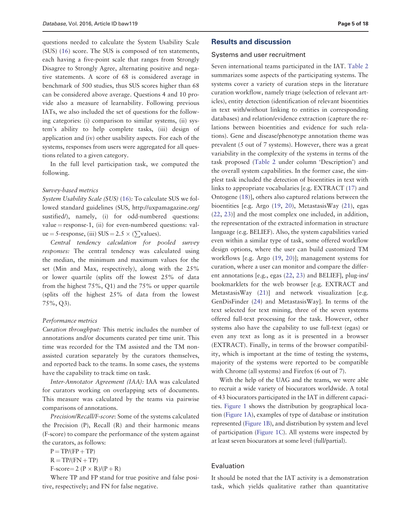questions needed to calculate the System Usability Scale (SUS) ([16\)](#page-16-0) score. The SUS is composed of ten statements, each having a five-point scale that ranges from Strongly Disagree to Strongly Agree, alternating positive and negative statements. A score of 68 is considered average in benchmark of 500 studies, thus SUS scores higher than 68 can be considered above average. Questions 4 and 10 provide also a measure of learnability. Following previous IATs, we also included the set of questions for the following categories: (i) comparison to similar systems, (ii) system's ability to help complete tasks, (iii) design of application and (iv) other usability aspects. For each of the systems, responses from users were aggregated for all questions related to a given category.

In the full level participation task, we computed the following.

#### Survey-based metrics

System Usability Scale (SUS) [\(16](#page-16-0)): To calculate SUS we followed standard guidelines (SUS, [http://uxpamagazine.org/](http://uxpamagazine.org/sustified/) [sustified/\)](http://uxpamagazine.org/sustified/), namely, (i) for odd-numbered questions: value = response-1, (ii) for even-numbered questions: value = 5-response, (iii) SUS = 2.5  $\times$  ( $\sum$ values).

Central tendency calculation for pooled survey responses: The central tendency was calculated using the median, the minimum and maximum values for the set (Min and Max, respectively), along with the 25% or lower quartile (splits off the lowest 25% of data from the highest 75%, Q1) and the 75% or upper quartile (splits off the highest 25% of data from the lowest 75%, Q3).

#### Performance metrics

Curation throughput: This metric includes the number of annotations and/or documents curated per time unit. This time was recorded for the TM assisted and the TM nonassisted curation separately by the curators themselves, and reported back to the teams. In some cases, the systems have the capability to track time on task.

Inter-Annotator Agreement (IAA): IAA was calculated for curators working on overlapping sets of documents. This measure was calculated by the teams via pairwise comparisons of annotations.

Precision/Recall/F-score: Some of the systems calculated the Precision (P), Recall (R) and their harmonic means (F-score) to compare the performance of the system against the curators, as follows:

 $P = TP/(FP + TP)$  $R = TP/(FN + TP)$ 

F-score=  $2 (P \times R)/(P + R)$ 

Where TP and FP stand for true positive and false positive, respectively; and FN for false negative.

#### Results and discussion

#### Systems and user recruitment

Seven international teams participated in the IAT. [Table 2](#page-5-0) summarizes some aspects of the participating systems. The systems cover a variety of curation steps in the literature curation workflow, namely triage (selection of relevant articles), entity detection (identification of relevant bioentities in text with/without linking to entities in corresponding databases) and relation/evidence extraction (capture the relations between bioentities and evidence for such relations). Gene and disease/phenotype annotation theme was prevalent (5 out of 7 systems). However, there was a great variability in the complexity of the systems in terms of the task proposed [\(Table 2](#page-5-0) under column 'Description') and the overall system capabilities. In the former case, the simplest task included the detection of bioentities in text with links to appropriate vocabularies [e.g. EXTRACT ([17\)](#page-16-0) and Ontogene ([18\)](#page-16-0)], others also captured relations between the bioentities [e.g. Argo [\(19](#page-16-0), [20](#page-16-0)), MetastasisWay [\(21\)](#page-16-0), egas [\(22](#page-16-0), [23](#page-16-0))] and the most complex one included, in addition, the representation of the extracted information in structure language (e.g. BELIEF). Also, the system capabilities varied even within a similar type of task, some offered workflow design options, where the user can build customized TM workflows [e.g. Argo [\(19](#page-16-0), [20](#page-16-0))]; management systems for curation, where a user can monitor and compare the different annotations [e.g., egas ([22,](#page-16-0) [23\)](#page-16-0) and BELIEF], plug-ins/ bookmarklets for the web browser [e.g. EXTRACT and MetastasisWay [\(21\)](#page-16-0)] and network visualization [e.g. GenDisFinder ([24](#page-16-0)) and MetastasisWay]. In terms of the text selected for text mining, three of the seven systems offered full-text processing for the task. However, other systems also have the capability to use full-text (egas) or even any text as long as it is presented in a browser (EXTRACT). Finally, in terms of the browser compatibility, which is important at the time of testing the systems, majority of the systems were reported to be compatible with Chrome (all systems) and Firefox (6 out of 7).

With the help of the UAG and the teams, we were able to recruit a wide variety of biocurators worldwide. A total of 43 biocurators participated in the IAT in different capacities. [Figure 1](#page-6-0) shows the distribution by geographical location [\(Figure 1A\)](#page-6-0), examples of type of database or institution represented [\(Figure 1B](#page-6-0)), and distribution by system and level of participation ([Figure 1C](#page-6-0)). All systems were inspected by at least seven biocurators at some level (full/partial).

#### Evaluation

It should be noted that the IAT activity is a demonstration task, which yields qualitative rather than quantitative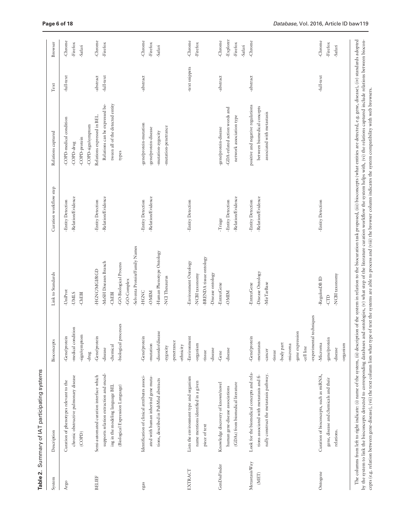<span id="page-5-0"></span>

| System                                 | Description                                                                                                                                                                                                   | Bioconcepts                                                                                                                                    | Link to Standards                                                                                                          | Curation workflow step                                                | Relations captured                                                                                        | $_{\rm Text}$               | Browser                                               |
|----------------------------------------|---------------------------------------------------------------------------------------------------------------------------------------------------------------------------------------------------------------|------------------------------------------------------------------------------------------------------------------------------------------------|----------------------------------------------------------------------------------------------------------------------------|-----------------------------------------------------------------------|-----------------------------------------------------------------------------------------------------------|-----------------------------|-------------------------------------------------------|
| $_{\rm Argo}$                          | chronic obstructive pulmonary disease<br>Curation of phenotypes relevant to the<br>(COPD)                                                                                                                     | -medical condition<br>-sign/symptom<br>-Gene/protein<br>$-drug$                                                                                | $-$ UniProt<br>-ChEBI<br>-UMLS                                                                                             | -Relation/Evidence<br>Entity Detection                                | -COPD-medical condition<br>-COPD-sign/symptom<br>-COPD-protein<br>-COPD-drug                              | -full-text                  | -Chrome<br>-Firefox<br>-Safari                        |
| BELIEF                                 | supports relation extraction and encod-<br>Semi-automated curation interface which<br>(Biological Expression Language)<br>ing in the modeling language BEI                                                    | -biological processes<br>-Gene/protein<br>-chemical<br>-disease                                                                                | Selventa Protein/Family Names<br>-MeSH Diseases Branch<br>-GO-Biological Process<br>-HGNC/MGI/RGD<br>-GO-Complex<br>-ChEBI | <b>Relation/Evidence</b><br>Entity Detection                          | Relations can be expressed be-<br>tween all of the detected entity<br>Relations expressed in BEL<br>types | -abstract<br>-full-text     | -Chrome<br>Firefox                                    |
| egas                                   | Identification of clinical attributes associ-<br>ated with human inherited gene muta-<br>tions, described in PubMed abstracts                                                                                 | -disorder/disease<br>-Gene/protein<br>-penetrance<br>-mutation<br>-ethnicity<br>-zygocity                                                      | -Human Phenotype Ontology<br>-NCI Thesaurus<br>-HGNC<br><b>NIINO-</b>                                                      | <b>Relation/Evidence</b><br>Entity Detection                          | -gene/protein-mutation<br>-mutation-penetrance<br>-gene/protein-disease<br>-mutation-zygocity             | -abstract                   | Chrome<br>Firefox<br>-Safari                          |
| GenDisFinder<br>EXTRACT                | Lists the environment type and organism<br>name mentions identified in a given<br>Knowledge discovery of known/novel<br>(GDAs) from biomedical literature<br>human gene-disease associations<br>piece of text | -Environment<br>-organism<br>-disease<br>$-dis case$<br>-tissue<br>-Gene                                                                       | -BRENDA tissue ontology<br>-Environment Ontology<br>-NCBI taxonomy<br>-Disease ontology<br>-EntrezGene<br>NIMO-            | -Relation/Evidence<br>Entity Detection<br>Entity Detection<br>-Triage | -GDA-related action words and<br>network association type<br>-gene/protein-disease                        | -text snippets<br>-abstract | -Explorer<br>-Chrome<br>-Chrome<br>Firefox<br>Firefox |
| $M$ etastasis $\mathbf{W}$ ay<br>(MET) | Look for the biomedical concepts and rela-<br>nally construct the metastasis pathway.<br>tions associated with metastasis and fi-                                                                             | techniques<br>-gene expression<br>-experimental<br>-Gene/protein<br>-metastasis<br>-body part<br>-microrna<br>-cell line<br>-cancer<br>-tissue | -Disease Ontology<br>-MirTarBase<br>-EntrezGene                                                                            | -Relation/Evidence<br>-Entity Detection                               | positive and negative regulations<br>between biomedical concepts<br>associated with metastasis            | -abstract                   | -Chrome<br>-Safari                                    |
| Ontogene                               | Curation of bioconcepts, such as miRNA,<br>gene, disease and chemicals and their<br>relations.                                                                                                                | -gene/protein<br>-Microrna<br>-organism<br>-disease                                                                                            | -NCBI taxonomy<br>RegulonDBID<br><b>CTD</b>                                                                                | Entity Detection                                                      |                                                                                                           | -full-text                  | -Chrome<br>Firefox<br>-Safari                         |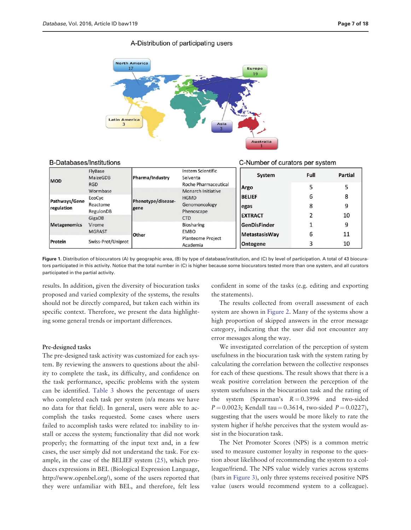#### A-Distribution of participating users

<span id="page-6-0"></span>

#### **B-Databases/Institutions**

#### C-Number of curators per system FlyBase **Instem Scientific Partial** System Full MaizeGDB Pharma/Industry Selventa MOD **RGD Roche Pharmaceutical** 5 5 Argo Monarch Initiative Wormbase **BELIEF** 6 8 EcoCyc **HGMD** Pathways/Gene Phenotype/disease-Reactome Genomoncology 8 9 egas regulation gene RegulonDB Phenoscape  $\overline{2}$ **EXTRACT** 10 GigaDB CTD **GenDisFinder Biosharing**  $\mathbf{1}$ 9 Metagenomics Virome **MGRAST EMBO** 6 11 Other **MetastasisWay Planteome Project** Protein Swiss-Prot/Uniprot Ontogene 3 10 Academia

Figure 1. Distribution of biocurators (A) by geographic area, (B) by type of database/institution, and (C) by level of participation. A total of 43 biocurators participated in this activity. Notice that the total number in (C) is higher because some biocurators tested more than one system, and all curators participated in the partial activity.

results. In addition, given the diversity of biocuration tasks proposed and varied complexity of the systems, the results should not be directly compared, but taken each within its specific context. Therefore, we present the data highlighting some general trends or important differences.

#### Pre-designed tasks

The pre-designed task activity was customized for each system. By reviewing the answers to questions about the ability to complete the task, its difficulty, and confidence on the task performance, specific problems with the system can be identified. [Table 3](#page-7-0) shows the percentage of users who completed each task per system (n/a means we have no data for that field). In general, users were able to accomplish the tasks requested. Some cases where users failed to accomplish tasks were related to: inability to install or access the system; functionality that did not work properly; the formatting of the input text and, in a few cases, the user simply did not understand the task. For example, in the case of the BELIEF system ([25\)](#page-17-0), which produces expressions in BEL (Biological Expression Language, <http://www.openbel.org/>), some of the users reported that they were unfamiliar with BEL, and therefore, felt less confident in some of the tasks (e.g. editing and exporting the statements).

The results collected from overall assessment of each system are shown in [Figure 2](#page-8-0). Many of the systems show a high proportion of skipped answers in the error message category, indicating that the user did not encounter any error messages along the way.

We investigated correlation of the perception of system usefulness in the biocuration task with the system rating by calculating the correlation between the collective responses for each of these questions. The result shows that there is a weak positive correlation between the perception of the system usefulness in the biocuration task and the rating of the system (Spearman's  $R = 0.3996$  and two-sided  $P = 0.0023$ ; Kendall tau = 0.3614, two-sided  $P = 0.0227$ ), suggesting that the users would be more likely to rate the system higher if he/she perceives that the system would assist in the biocuration task.

The Net Promoter Scores (NPS) is a common metric used to measure customer loyalty in response to the question about likelihood of recommending the system to a colleague/friend. The NPS value widely varies across systems (bars in [Figure 3](#page-9-0)), only three systems received positive NPS value (users would recommend system to a colleague).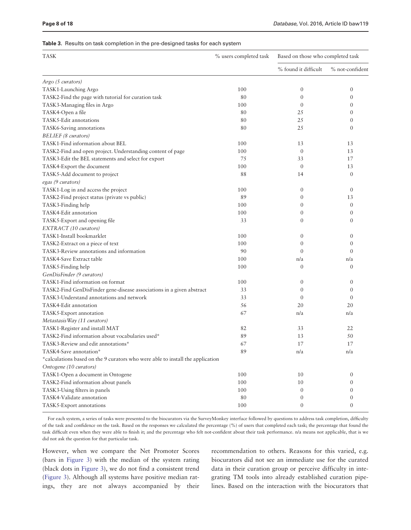#### <span id="page-7-0"></span>Table 3. Results on task completion in the pre-designed tasks for each system

| <b>TASK</b>                                                                    | % users completed task | Based on those who completed task |                  |
|--------------------------------------------------------------------------------|------------------------|-----------------------------------|------------------|
|                                                                                |                        | % found it difficult              | % not-confident  |
| Argo (5 curators)                                                              |                        |                                   |                  |
| TASK1-Launching Argo                                                           | 100                    | $\mathbf{0}$                      | $\boldsymbol{0}$ |
| TASK2-Find the page with tutorial for curation task                            | 80                     | $\mathbf{0}$                      | $\boldsymbol{0}$ |
| TASK3-Managing files in Argo                                                   | 100                    | $\mathbf{0}$                      | $\mathbf{0}$     |
| TASK4-Open a file                                                              | 80                     | 25                                | 0                |
| TASK5-Edit annotations                                                         | 80                     | 25                                | $\theta$         |
| TASK6-Saving annotations                                                       | 80                     | 25                                | $\Omega$         |
| <b>BELIEF</b> (8 curators)                                                     |                        |                                   |                  |
| TASK1-Find information about BEL                                               | 100                    | 13                                | 13               |
| TASK2-Find and open project. Understanding content of page                     | 100                    | $\overline{0}$                    | 13               |
| TASK3-Edit the BEL statements and select for export                            | 75                     | 33                                | 17               |
| TASK4-Export the document                                                      | 100                    | $\mathbf{0}$                      | 13               |
| TASK5-Add document to project                                                  | 88                     | 14                                | $\theta$         |
| egas (9 curators)                                                              |                        |                                   |                  |
| TASK1-Log in and access the project                                            | 100                    | $\overline{0}$                    | $\overline{0}$   |
| TASK2-Find project status (private vs public)                                  | 89                     | $\mathbf{0}$                      | 13               |
| TASK3-Finding help                                                             | 100                    | $\Omega$                          | $\theta$         |
| TASK4-Edit annotation                                                          | 100                    | $\mathbf{0}$                      | $\theta$         |
| TASK5-Export and opening file                                                  | 33                     | $\Omega$                          | $\mathbf{0}$     |
| EXTRACT (10 curators)                                                          |                        |                                   |                  |
| TASK1-Install bookmarklet                                                      | 100                    | $\mathbf{0}$                      | $\theta$         |
| TASK2-Extract on a piece of text                                               | 100                    | $\mathbf{0}$                      | $\theta$         |
| TASK3-Review annotations and information                                       | 90                     | $\Omega$                          | $\Omega$         |
| TASK4-Save Extract table                                                       | 100                    | n/a                               | n/a              |
| TASK5-Finding help                                                             | 100                    | $\mathbf{0}$                      | $\theta$         |
| GenDisFinder (9 curators)                                                      |                        |                                   |                  |
| TASK1-Find information on format                                               | 100                    | $\theta$                          | $\boldsymbol{0}$ |
| TASK2-Find GenDisFinder gene-disease associations in a given abstract          | 33                     | $\mathbf{0}$                      | $\theta$         |
| TASK3-Understand annotations and network                                       | 33                     | $\mathbf{0}$                      | $\Omega$         |
| TASK4-Edit annotation                                                          | 56                     | 20                                | 20               |
| TASK5-Export annotation                                                        | 67                     | n/a                               | n/a              |
| Metastasis Way (11 curators)                                                   |                        |                                   |                  |
| TASK1-Register and install MAT                                                 | 82                     | 33                                | 22               |
| TASK2-Find information about vocabularies used*                                | 89                     | 13                                | 50               |
| TASK3-Review and edit annotations*                                             | 67                     | 17                                | 17               |
| TASK4-Save annotation*                                                         | 89                     | n/a                               | n/a              |
| *calculations based on the 9 curators who were able to install the application |                        |                                   |                  |
| Ontogene (10 curators)                                                         |                        |                                   |                  |
| TASK1-Open a document in Ontogene                                              | 100                    | 10                                | $\theta$         |
| TASK2-Find information about panels                                            | 100                    | 10                                | $\overline{0}$   |
| TASK3-Using filters in panels                                                  | 100                    | $\overline{0}$                    | $\overline{0}$   |
| TASK4-Validate annotation                                                      | 80                     | $\mathbf{0}$                      | $\overline{0}$   |
| TASK5-Export annotations                                                       | 100                    | $\mathbf{0}$                      | $\mathbf{0}$     |

For each system, a series of tasks were presented to the biocurators via the SurveyMonkey interface followed by questions to address task completion, difficulty of the task and confidence on the task. Based on the responses we calculated the percentage (%) of users that completed each task; the percentage that found the task difficult even when they were able to finish it; and the percentage who felt not-confident about their task performance. n/a means not applicable, that is we did not ask the question for that particular task.

However, when we compare the Net Promoter Scores (bars in [Figure 3\)](#page-9-0) with the median of the system rating (black dots in [Figure 3\)](#page-9-0), we do not find a consistent trend [\(Figure 3\)](#page-9-0). Although all systems have positive median ratings, they are not always accompanied by their recommendation to others. Reasons for this varied, e.g. biocurators did not see an immediate use for the curated data in their curation group or perceive difficulty in integrating TM tools into already established curation pipelines. Based on the interaction with the biocurators that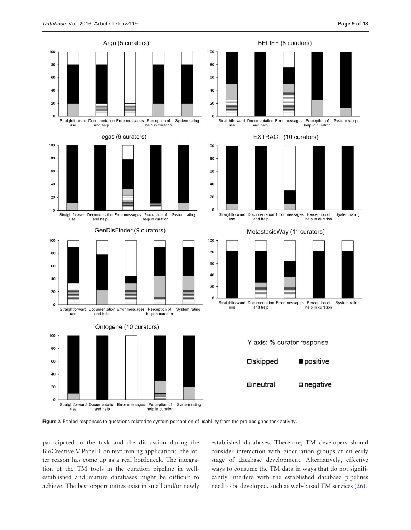<span id="page-8-0"></span>

Figure 2. Pooled responses to questions related to system perception of usability from the pre-designed task activity.

participated in the task and the discussion during the BioCreative V Panel 1 on text mining applications, the latter reason has come up as a real bottleneck. The integration of the TM tools in the curation pipeline in wellestablished and mature databases might be difficult to achieve. The best opportunities exist in small and/or newly established databases. Therefore, TM developers should consider interaction with biocuration groups at an early stage of database development. Alternatively, effective ways to consume the TM data in ways that do not significantly interfere with the established database pipelines need to be developed, such as web-based TM services [\(26\)](#page-17-0).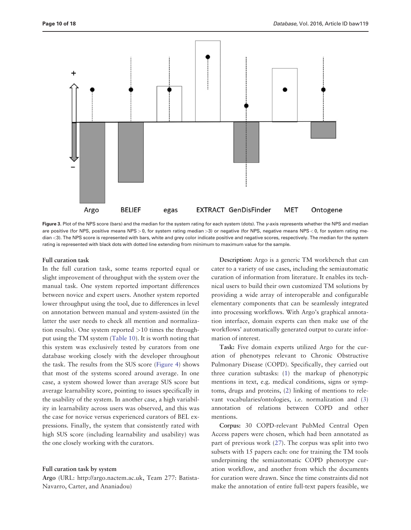<span id="page-9-0"></span>

Figure 3. Plot of the NPS score (bars) and the median for the system rating for each system (dots). The y-axis represents whether the NPS and median are positive (for NPS, positive means NPS > 0, for system rating median > 3) or negative (for NPS, negative means NPS < 0, for system rating median <3). The NPS score is represented with bars, white and grey color indicate positive and negative scores, respectively. The median for the system rating is represented with black dots with dotted line extending from minimum to maximum value for the sample.

#### Full curation task

In the full curation task, some teams reported equal or slight improvement of throughput with the system over the manual task. One system reported important differences between novice and expert users. Another system reported lower throughput using the tool, due to differences in level on annotation between manual and system-assisted (in the latter the user needs to check all mention and normalization results). One system reported >10 times the throughput using the TM system ([Table 10\)](#page-14-0). It is worth noting that this system was exclusively tested by curators from one database working closely with the developer throughout the task. The results from the SUS score ([Figure 4](#page-10-0)) shows that most of the systems scored around average. In one case, a system showed lower than average SUS score but average learnability score, pointing to issues specifically in the usability of the system. In another case, a high variability in learnability across users was observed, and this was the case for novice versus experienced curators of BEL expressions. Finally, the system that consistently rated with high SUS score (including learnability and usability) was the one closely working with the curators.

#### Full curation task by system

Argo (URL: [http://argo.nactem.ac.uk,](http://argo.nactem.ac.uk) Team 277: Batista-Navarro, Carter, and Ananiadou)

Description: Argo is a generic TM workbench that can cater to a variety of use cases, including the semiautomatic curation of information from literature. It enables its technical users to build their own customized TM solutions by providing a wide array of interoperable and configurable elementary components that can be seamlessly integrated into processing workflows. With Argo's graphical annotation interface, domain experts can then make use of the workflows' automatically generated output to curate information of interest.

Task: Five domain experts utilized Argo for the curation of phenotypes relevant to Chronic Obstructive Pulmonary Disease (COPD). Specifically, they carried out three curation subtasks: ([1\)](#page-16-0) the markup of phenotypic mentions in text, e.g. medical conditions, signs or symptoms, drugs and proteins, ([2\)](#page-16-0) linking of mentions to relevant vocabularies/ontologies, i.e. normalization and ([3](#page-16-0)) annotation of relations between COPD and other mentions.

Corpus: 30 COPD-relevant PubMed Central Open Access papers were chosen, which had been annotated as part of previous work ([27\)](#page-17-0). The corpus was split into two subsets with 15 papers each: one for training the TM tools underpinning the semiautomatic COPD phenotype curation workflow, and another from which the documents for curation were drawn. Since the time constraints did not make the annotation of entire full-text papers feasible, we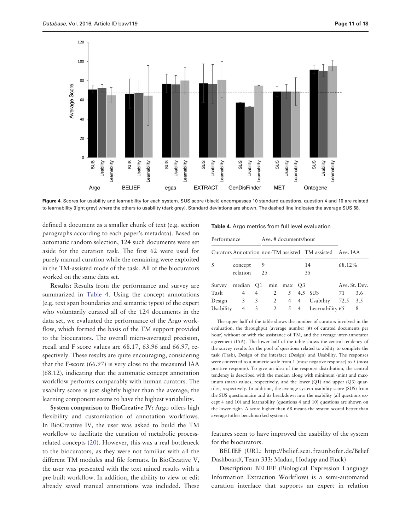<span id="page-10-0"></span>

Figure 4. Scores for usability and learnability for each system. SUS score (black) encompasses 10 standard questions, question 4 and 10 are related to learnability (light grey) where the others to usability (dark grey). Standard deviations are shown. The dashed line indicates the average SUS 68.

defined a document as a smaller chunk of text (e.g. section paragraphs according to each paper's metadata). Based on automatic random selection, 124 such documents were set aside for the curation task. The first 62 were used for purely manual curation while the remaining were exploited in the TM-assisted mode of the task. All of the biocurators worked on the same data set.

Results: Results from the performance and survey are summarized in Table 4. Using the concept annotations (e.g. text span boundaries and semantic types) of the expert who voluntarily curated all of the 124 documents in the data set, we evaluated the performance of the Argo workflow, which formed the basis of the TM support provided to the biocurators. The overall micro-averaged precision, recall and F score values are 68.17, 63.96 and 66.97, respectively. These results are quite encouraging, considering that the F-score (66.97) is very close to the measured IAA (68.12), indicating that the automatic concept annotation workflow performs comparably with human curators. The usability score is just slightly higher than the average; the learning component seems to have the highest variability.

System comparison to BioCreative IV: Argo offers high flexibility and customization of annotation workflows. In BioCreative IV, the user was asked to build the TM workflow to facilitate the curation of metabolic processrelated concepts ([20\)](#page-16-0). However, this was a real bottleneck to the biocurators, as they were not familiar with all the different TM modules and file formats. In BioCreative V, the user was presented with the text mined results with a pre-built workflow. In addition, the ability to view or edit already saved manual annotations was included. These

Table 4. Argo metrics from full level evaluation

| Performance                                              |                         |             | Ave. # documents/hour    |            |     |                      |        |               |
|----------------------------------------------------------|-------------------------|-------------|--------------------------|------------|-----|----------------------|--------|---------------|
| Curators Annotation non-TM assisted TM assisted Ave. IAA |                         |             |                          |            |     |                      |        |               |
|                                                          | concept                 |             | 9                        |            |     | 14                   | 68.12% |               |
|                                                          | relation                |             | 25                       |            |     | 35                   |        |               |
| Survey                                                   | median Q1               |             | min                      | $max$ $O3$ |     |                      |        | Ave. St. Dev. |
| Task                                                     | 4                       | 4           | $\mathbf{2}$             |            |     | 5 4.5 SUS            | 71     | 3.6           |
| Design                                                   | $\overline{\mathbf{3}}$ | $3^{\circ}$ | $\mathbf{2}$             |            | 4 4 | Usability $72.5$ 3.5 |        |               |
| Usability                                                | 4                       |             | $\mathbf{2}$<br>$3 \sim$ |            |     | 5 4 Learnability 65  |        | 8             |

The upper half of the table shows the number of curators involved in the evaluation, the throughput (average number (#) of curated documents per hour) without or with the assistance of TM, and the average inter-annotator agreement (IAA). The lower half of the table shows the central tendency of the survey results for the pool of questions related to ability to complete the task (Task), Design of the interface (Design) and Usability. The responses were converted to a numeric scale from 1 (most negative response) to 5 (most positive response). To give an idea of the response distribution, the central tendency is described with the median along with minimum (min) and maximum (max) values, respectively, and the lower (Q1) and upper (Q3) quartiles, respectively. In addition, the average system usability score (SUS) from the SUS questionnaire and its breakdown into the usability (all questions except 4 and 10) and learnability (questions 4 and 10) questions are shown on the lower right. A score higher than 68 means the system scored better than average (other benchmarked systems).

features seem to have improved the usability of the system for the biocurators.

BELIEF (URL: [http://belief.scai.fraunhofer.de/Belief](http://belief.scai.fraunhofer.de/BeliefDashboard/) [Dashboard/,](http://belief.scai.fraunhofer.de/BeliefDashboard/) Team 333: Madan, Hodapp and Fluck)

Description: BELIEF (Biological Expression Language Information Extraction Workflow) is a semi-automated curation interface that supports an expert in relation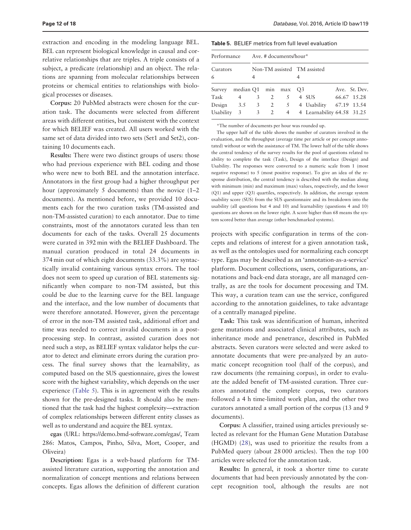extraction and encoding in the modeling language BEL. BEL can represent biological knowledge in causal and correlative relationships that are triples. A triple consists of a subject, a predicate (relationship) and an object. The relations are spanning from molecular relationships between proteins or chemical entities to relationships with biological processes or diseases.

Corpus: 20 PubMed abstracts were chosen for the curation task. The documents were selected from different areas with different entities, but consistent with the context for which BELIEF was created. All users worked with the same set of data divided into two sets (Set1 and Set2), containing 10 documents each.

Results: There were two distinct groups of users: those who had previous experience with BEL coding and those who were new to both BEL and the annotation interface. Annotators in the first group had a higher throughput per hour (approximately 5 documents) than the novice  $(1-2)$ documents). As mentioned before, we provided 10 documents each for the two curation tasks (TM-assisted and non-TM-assisted curation) to each annotator. Due to time constraints, most of the annotators curated less than ten documents for each of the tasks. Overall 25 documents were curated in 392 min with the BELIEF Dashboard. The manual curation produced in total 24 documents in 374 min out of which eight documents (33.3%) are syntactically invalid containing various syntax errors. The tool does not seem to speed up curation of BEL statements significantly when compare to non-TM assisted, but this could be due to the learning curve for the BEL language and the interface, and the low number of documents that were therefore annotated. However, given the percentage of error in the non-TM assisted task, additional effort and time was needed to correct invalid documents in a postprocessing step. In contrast, assisted curation does not need such a step, as BELIEF syntax validator helps the curator to detect and eliminate errors during the curation process. The final survey shows that the learnability, as computed based on the SUS questionnaire, gives the lowest score with the highest variability, which depends on the user experience (Table 5). This is in agreement with the results shown for the pre-designed tasks. It should also be mentioned that the task had the highest complexity—extraction of complex relationships between different entity classes as well as to understand and acquire the BEL syntax.

egas (URL: [https://demo.bmd-software.com/egas/,](https://demo.bmd-software.com/egas/) Team 286: Matos, Campos, Pinho, Silva, Mort, Cooper, and Oliveira)

Description: Egas is a web-based platform for TMassisted literature curation, supporting the annotation and normalization of concept mentions and relations between concepts. Egas allows the definition of different curation

Table 5. BELIEF metrics from full level evaluation

| Performance Ave. # documents/hour* |                |   |                             |       |                                          |               |
|------------------------------------|----------------|---|-----------------------------|-------|------------------------------------------|---------------|
| Curators<br>6                      |                | 4 |                             |       | Non-TM assisted TM assisted              |               |
| Survey median Q1 min max Q3        |                |   |                             |       |                                          | Ave. St. Dev. |
| Task                               | $\overline{4}$ |   |                             | 3 2 5 | 4 SUS 66.67 15.28                        |               |
|                                    |                |   |                             |       | Design 3.5 3 2 5 4 Usability 67.19 13.54 |               |
| Usability 3                        |                |   | $3^{\circ}$<br>$\mathbf{2}$ |       | 4 4 Learnability 64.58 31.25             |               |

\*The number of documents per hour was rounded up.

The upper half of the table shows the number of curators involved in the evaluation, and the throughput (average time per article or per concept annotated) without or with the assistance of TM. The lower half of the table shows the central tendency of the survey results for the pool of questions related to ability to complete the task (Task), Design of the interface (Design) and Usability. The responses were converted to a numeric scale from 1 (most negative response) to 5 (most positive response). To give an idea of the response distribution, the central tendency is described with the median along with minimum (min) and maximum (max) values, respectively, and the lower (Q1) and upper (Q3) quartiles, respectively. In addition, the average system usability score (SUS) from the SUS questionnaire and its breakdown into the usability (all questions but 4 and 10) and learnability (questions 4 and 10) questions are shown on the lower right. A score higher than 68 means the system scored better than average (other benchmarked systems).

projects with specific configuration in terms of the concepts and relations of interest for a given annotation task, as well as the ontologies used for normalizing each concept type. Egas may be described as an 'annotation-as-a-service' platform. Document collections, users, configurations, annotations and back-end data storage, are all managed centrally, as are the tools for document processing and TM. This way, a curation team can use the service, configured according to the annotation guidelines, to take advantage of a centrally managed pipeline.

Task: This task was identification of human, inherited gene mutations and associated clinical attributes, such as inheritance mode and penetrance, described in PubMed abstracts. Seven curators were selected and were asked to annotate documents that were pre-analyzed by an automatic concept recognition tool (half of the corpus), and raw documents (the remaining corpus), in order to evaluate the added benefit of TM-assisted curation. Three curators annotated the complete corpus, two curators followed a 4 h time-limited work plan, and the other two curators annotated a small portion of the corpus (13 and 9 documents).

Corpus: A classifier, trained using articles previously selected as relevant for the Human Gene Mutation Database (HGMD) ([28](#page-17-0)), was used to prioritize the results from a PubMed query (about 28 000 articles). Then the top 100 articles were selected for the annotation task.

Results: In general, it took a shorter time to curate documents that had been previously annotated by the concept recognition tool, although the results are not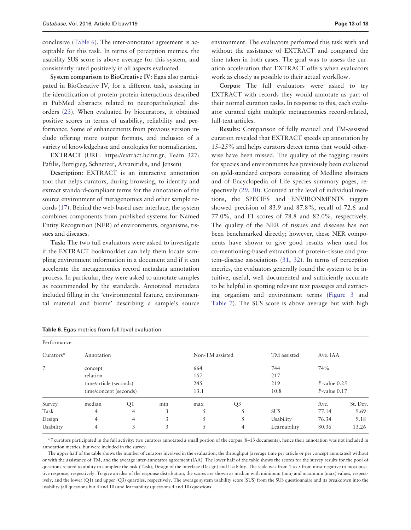conclusive (Table 6). The inter-annotator agreement is acceptable for this task. In terms of perception metrics, the usability SUS score is above average for this system, and consistently rated positively in all aspects evaluated.

System comparison to BioCreative IV: Egas also participated in BioCreative IV, for a different task, assisting in the identification of protein-protein interactions described in PubMed abstracts related to neuropathological disorders ([23\)](#page-16-0). When evaluated by biocurators, it obtained positive scores in terms of usability, reliability and performance. Some of enhancements from previous version include offering more output formats, and inclusion of a variety of knowledgebase and ontologies for normalization.

EXTRACT (URL: [https://extract.hcmr.gr,](https://extract.hcmr.gr) Team 327: Pafilis, Buttigieg, Schnetzer, Arvanitidis, and Jensen)

Description: EXTRACT is an interactive annotation tool that helps curators, during browsing, to identify and extract standard-compliant terms for the annotation of the source environment of metagenomics and other sample records [\(17](#page-16-0)). Behind the web-based user interface, the system combines components from published systems for Named Entity Recognition (NER) of environments, organisms, tissues and diseases.

Task: The two full evaluators were asked to investigate if the EXTRACT bookmarklet can help them locate sampling environment information in a document and if it can accelerate the metagenomics record metadata annotation process. In particular, they were asked to annotate samples as recommended by the standards. Annotated metadata included filling in the 'environmental feature, environmental material and biome' describing a sample's source

Corpus: The full evaluators were asked to try EXTRACT with records they would annotate as part of their normal curation tasks. In response to this, each evaluator curated eight multiple metagenomics record-related, full-text articles.

Results: Comparison of fully manual and TM-assisted curation revealed that EXTRACT speeds up annotation by 15–25% and helps curators detect terms that would otherwise have been missed. The quality of the tagging results for species and environments has previously been evaluated on gold-standard corpora consisting of Medline abstracts and of Encyclopedia of Life species summary pages, respectively [\(29,](#page-17-0) [30\)](#page-17-0). Counted at the level of individual mentions, the SPECIES and ENVIRONMENTS taggers showed precision of 83.9 and 87.8%, recall of 72.6 and 77.0%, and F1 scores of 78.8 and 82.0%, respectively. The quality of the NER of tissues and diseases has not been benchmarked directly; however, these NER components have shown to give good results when used for co-mentioning-based extraction of protein–tissue and protein–disease associations ([31,](#page-17-0) [32\)](#page-17-0). In terms of perception metrics, the evaluators generally found the system to be intuitive, useful, well documented and sufficiently accurate to be helpful in spotting relevant text passages and extracting organism and environment terms ([Figure 3](#page-9-0) and [Table 7\)](#page-13-0). The SUS score is above average but with high

| Performance |                        |    |     |                 |                |              |                   |          |
|-------------|------------------------|----|-----|-----------------|----------------|--------------|-------------------|----------|
| Curators*   | Annotation             |    |     | Non-TM assisted |                | TM assisted  | Ave. IAA          |          |
| 7           | concept                |    |     | 664             |                | 744          | 74%               |          |
|             | relation               |    |     | 157             |                | 217          |                   |          |
|             | time/article (seconds) |    |     | 245             |                | 219          | $P$ -value 0.25   |          |
|             | time/concept (seconds) |    |     | 13.1            |                | 10.8         | $P$ -value $0.17$ |          |
| Survey      | median                 | Q1 | min | max             | Q <sub>3</sub> |              | Ave.              | St. Dev. |
| Task        | 4                      | 4  | 3   | 5               |                | <b>SUS</b>   | 77.14             | 9.69     |
| Design      | 4                      | 4  | 3   |                 | 5              | Usability    | 76.34             | 9.18     |
| Usability   | 4                      | 3  | 3   |                 | 4              | Learnability | 80.36             | 13.26    |

|  |  |  |  |  |  | <b>Table 6.</b> Egas metrics from full level evaluation |
|--|--|--|--|--|--|---------------------------------------------------------|
|--|--|--|--|--|--|---------------------------------------------------------|

\*7 curators participated in the full activity: two curators annotated a small portion of the corpus (8–13 documents), hence their annotation was not included in annotation metrics, but were included in the survey.

The upper half of the table shows the number of curators involved in the evaluation, the throughput (average time per article or per concept annotated) without or with the assistance of TM, and the average inter-annotator agreement (IAA). The lower half of the table shows the scores for the survey results for the pool of questions related to ability to complete the task (Task), Design of the interface (Design) and Usability. The scale was from 1 to 5 from most negative to most positive response, respectively. To give an idea of the response distribution, the scores are shown as median with minimum (min) and maximum (max) values, respectively, and the lower (Q1) and upper (Q3) quartiles, respectively. The average system usability score (SUS) from the SUS questionnaire and its breakdown into the usability (all questions but 4 and 10) and learnability (questions 4 and 10) questions.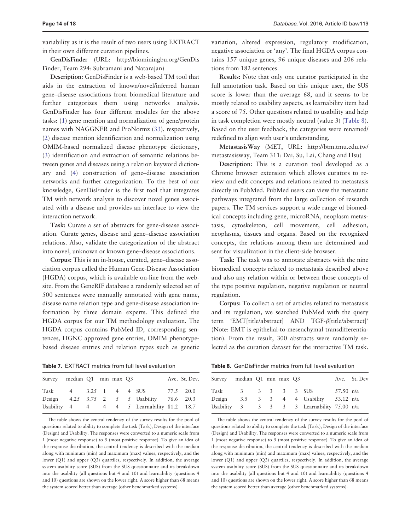<span id="page-13-0"></span>variability as it is the result of two users using EXTRACT in their own different curation pipelines.

GenDisFinder (URL: [http://biominingbu.org/GenDis](http://biominingbu.org/GenDisFinder) [Finder,](http://biominingbu.org/GenDisFinder) Team 294: Subramani and Natarajan)

Description: GenDisFinder is a web-based TM tool that aids in the extraction of known/novel/inferred human gene–disease associations from biomedical literature and further categorizes them using networks analysis. GenDisFinder has four different modules for the above tasks: ([1\)](#page-16-0) gene mention and normalization of gene/protein names with NAGGNER and ProNormz [\(33\)](#page-17-0), respectively, [\(2](#page-16-0)) disease mention identification and normalization using OMIM-based normalized disease phenotype dictionary, [\(3](#page-16-0)) identification and extraction of semantic relations between genes and diseases using a relation keyword dictionary and [\(4](#page-16-0)) construction of gene–disease association networks and further categorization. To the best of our knowledge, GenDisFinder is the first tool that integrates TM with network analysis to discover novel genes associated with a disease and provides an interface to view the interaction network.

Task: Curate a set of abstracts for gene-disease association. Curate genes, disease and gene–disease association relations. Also, validate the categorization of the abstract into novel, unknown or known gene–disease associations.

Corpus: This is an in-house, curated, gene–disease association corpus called the Human Gene-Disease Association (HGDA) corpus, which is available on-line from the website. From the GeneRIF database a randomly selected set of 500 sentences were manually annotated with gene name, disease name relation type and gene-disease association information by three domain experts. This defined the HGDA corpus for our TM methodology evaluation. The HGDA corpus contains PubMed ID, corresponding sentences, HGNC approved gene entries, OMIM phenotypebased disease entries and relation types such as genetic

Table 7. EXTRACT metrics from full level evaluation

| Survey median Q1 min max Q3 |  |  |                                            | Ave. St. Dev. |
|-----------------------------|--|--|--------------------------------------------|---------------|
| Task 4 3.25 1 4 4 SUS       |  |  |                                            | 77.5 20.0     |
|                             |  |  | Design 4.25 3.75 2 5 5 Usability 76.6 20.3 |               |
|                             |  |  | Usability 4 4 4 4 5 Learnability 81.2 18.7 |               |

The table shows the central tendency of the survey results for the pool of questions related to ability to complete the task (Task), Design of the interface (Design) and Usability. The responses were converted to a numeric scale from 1 (most negative response) to 5 (most positive response). To give an idea of the response distribution, the central tendency is described with the median along with minimum (min) and maximum (max) values, respectively, and the lower (Q1) and upper (Q3) quartiles, respectively. In addition, the average system usability score (SUS) from the SUS questionnaire and its breakdown into the usability (all questions but 4 and 10) and learnability (questions 4 and 10) questions are shown on the lower right. A score higher than 68 means the system scored better than average (other benchmarked systems).

variation, altered expression, regulatory modification, negative association or 'any'. The final HGDA corpus contains 157 unique genes, 96 unique diseases and 206 relations from 182 sentences.

Results: Note that only one curator participated in the full annotation task. Based on this unique user, the SUS score is lower than the average 68, and it seems to be mostly related to usability aspects, as learnability item had a score of 75. Other questions related to usability and help in task completion were mostly neutral (value 3) (Table 8). Based on the user feedback, the categories were renamed/ redefined to align with user's understanding.

MetastasisWay (MET, URL: [http://btm.tmu.edu.tw/](http://btm.tmu.edu.tw/metastasisway) [metastasisway](http://btm.tmu.edu.tw/metastasisway), Team 311: Dai, Su, Lai, Chang and Hsu)

Description: This is a curation tool developed as a Chrome browser extension which allows curators to review and edit concepts and relations related to metastasis directly in PubMed. PubMed users can view the metastatic pathways integrated from the large collection of research papers. The TM services support a wide range of biomedical concepts including gene, microRNA, neoplasm metastasis, cytoskeleton, cell movement, cell adhesion, neoplasms, tissues and organs. Based on the recognized concepts, the relations among them are determined and sent for visualization in the client-side browser.

Task: The task was to annotate abstracts with the nine biomedical concepts related to metastasis described above and also any relation within or between those concepts of the type positive regulation, negative regulation or neutral regulation.

Corpus: To collect a set of articles related to metastasis and its regulation, we searched PubMed with the query term 'EMT[title/abstract] AND TGF- $\beta$ [title/abstract]' (Note: EMT is epithelial-to-mesenchymal transdifferentiation). From the result, 300 abstracts were randomly selected as the curation dataset for the interactive TM task.

Table 8. GenDisFinder metrics from full level evaluation

| Survey    | median Q1 min max Q3 |  |  |                                    |             | Ave. St. Dev |
|-----------|----------------------|--|--|------------------------------------|-------------|--------------|
|           |                      |  |  |                                    |             |              |
| Task      | 3 3 3 3 3 SUS        |  |  |                                    | $57.50$ n/a |              |
| Design    |                      |  |  | 3.5 3 3 4 4 Usability 53.12 n/a    |             |              |
| Usability |                      |  |  | 3 3 3 3 3 1 Learnability 75.00 n/a |             |              |

The table shows the central tendency of the survey results for the pool of questions related to ability to complete the task (Task), Design of the interface (Design) and Usability. The responses were converted to a numeric scale from 1 (most negative response) to 5 (most positive response). To give an idea of the response distribution, the central tendency is described with the median along with minimum (min) and maximum (max) values, respectively, and the lower (Q1) and upper (Q3) quartiles, respectively. In addition, the average system usability score (SUS) from the SUS questionnaire and its breakdown into the usability (all questions but 4 and 10) and learnability (questions 4 and 10) questions are shown on the lower right. A score higher than 68 means the system scored better than average (other benchmarked systems).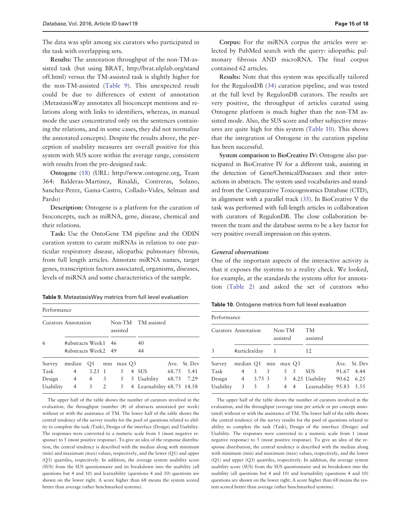<span id="page-14-0"></span>The data was split among six curators who participated in the task with overlapping sets.

Results: The annotation throughput of the non-TM-assisted task (but using BRAT, [http://brat.nlplab.org/stand](http://brat.nlplab.org/standoff.html) [off.html](http://brat.nlplab.org/standoff.html)) versus the TM-assisted task is slightly higher for the non-TM-assisted (Table 9). This unexpected result could be due to differences of extent of annotation (MetastasisWay annotates all bioconcept mentions and relations along with links to identifiers, whereas, in manual mode the user concentrated only on the sentences containing the relations, and in some cases, they did not normalize the annotated concepts). Despite the results above, the perception of usability measures are overall positive for this system with SUS score within the average range, consistent with results from the pre-designed task.

Ontogene [\(18](#page-16-0)) (URL: [http://www.ontogene.org,](http://www.ontogene.org) Team 364: Balderas-Martinez, Rinaldi, Contreras, Solano, Sanchez-Perez, Gama-Castro, Collado-Vides, Selman and Pardo)

Description: Ontogene is a platform for the curation of bioconcepts, such as miRNA, gene, disease, chemical and their relations.

Task: Use the OntoGene TM pipeline and the ODIN curation system to curate miRNAs in relation to one particular respiratory disease, idiopathic pulmonary fibrosis, from full length articles. Annotate miRNA names, target genes, transcription factors associated, organisms, diseases, levels of miRNA and some characteristics of the sample.

Table 9. MetastasisWay metrics from full level evaluation

| Performance         |                                            |                  |   |               |                            |              |
|---------------------|--------------------------------------------|------------------|---|---------------|----------------------------|--------------|
| Curators Annotation |                                            |                  |   | assisted      | Non-TM TM assisted         |              |
| 6                   | #abstracts Week1 46<br>#abstracts Week2 49 |                  |   |               | 40<br>44                   |              |
| Survey              | median                                     | $Q1$ min         |   | max O3        |                            | Ave. St. Dev |
| Task                |                                            | $4 \t 3.25 \t 1$ |   | $\mathcal{F}$ | 4 SUS                      | 68.75 5.41   |
| Design              | $\overline{4}$                             | 4                | 3 |               | 5 5 Usability 68.75        | 7.29         |
| Usability           | 4                                          | 3                | 2 | $5^{\circ}$   | 4 Learnability 68.75 14.58 |              |

The upper half of the table shows the number of curators involved in the evaluation, the throughput (number (#) of abstracts annotated per week) without or with the assistance of TM. The lower half of the table shows the central tendency of the survey results for the pool of questions related to ability to complete the task (Task), Design of the interface (Design) and Usability. The responses were converted to a numeric scale from 1 (most negative response) to 5 (most positive response). To give an idea of the response distribution, the central tendency is described with the median along with minimum (min) and maximum (max) values, respectively, and the lower (Q1) and upper (Q3) quartiles, respectively. In addition, the average system usability score (SUS) from the SUS questionnaire and its breakdown into the usability (all questions but 4 and 10) and learnability (questions 4 and 10) questions are shown on the lower right. A score higher than 68 means the system scored better than average (other benchmarked systems).

Corpus: For the miRNA corpus the articles were selected by PubMed search with the query: idiopathic pulmonary fibrosis AND microRNA. The final corpus contained 62 articles.

Results: Note that this system was specifically tailored for the RegulonDB [\(34\)](#page-17-0) curation pipeline, and was tested at the full level by RegulonDB curators. The results are very positive, the throughput of articles curated using Ontogene platform is much higher than the non-TM assisted mode. Also, the SUS score and other subjective measures are quite high for this system (Table 10). This shows that the integration of Ontogene in the curation pipeline has been successful.

System comparison to BioCreative IV: Ontogene also participated in BioCreative IV for a different task, assisting in the detection of Gene/Chemical/Diseases and their interactions in abstracts. The system used vocabularies and standard from the Comparative Toxicogenomics Database (CTD), in alignment with a parallel track [\(35\)](#page-17-0). In BioCreative V the task was performed with full-length articles in collaboration with curators of RegulonDB. The close collaboration between the team and the database seems to be a key factor for very positive overall impression on this system.

#### General observations

One of the important aspects of the interactive activity is that it exposes the systems to a reality check. We looked, for example, at the standards the systems offer for annotation [\(Table 2](#page-5-0)) and asked the set of curators who

|  | Table 10. Ontogene metrics from full level evaluation |  |  |  |  |  |  |
|--|-------------------------------------------------------|--|--|--|--|--|--|
|--|-------------------------------------------------------|--|--|--|--|--|--|

|                         | Performance                     |             |  |                      |  |                                  |  |              |  |  |  |  |
|-------------------------|---------------------------------|-------------|--|----------------------|--|----------------------------------|--|--------------|--|--|--|--|
|                         | Curators Annotation             |             |  | $Non-TM$<br>assisted |  | TM<br>assisted                   |  |              |  |  |  |  |
| $\mathfrak{Z}$          | #articles/day<br>$\blacksquare$ |             |  |                      |  | 12                               |  |              |  |  |  |  |
| Survey                  | median Q1 min max Q3            |             |  |                      |  |                                  |  | Ave. St. Dev |  |  |  |  |
| Task                    | $4 \quad$                       | $3 \quad 3$ |  | $5 \quad 5$          |  | <b>SUS</b>                       |  | 91.67 4.44   |  |  |  |  |
|                         |                                 |             |  |                      |  | Design 4 3.75 3 5 4.25 Usability |  | 90.62 6.25   |  |  |  |  |
| Usability $3 \t 3 \t 3$ |                                 |             |  |                      |  | 4  4  Learnability  95.83  5.55  |  |              |  |  |  |  |

The upper half of the table shows the number of curators involved in the evaluation, and the throughput (average time per article or per concept annotated) without or with the assistance of TM. The lower half of the table shows the central tendency of the survey results for the pool of questions related to ability to complete the task (Task), Design of the interface (Design) and Usability. The responses were converted to a numeric scale from 1 (most negative response) to 5 (most positive response). To give an idea of the response distribution, the central tendency is described with the median along with minimum (min) and maximum (max) values, respectively, and the lower (Q1) and upper (Q3) quartiles, respectively. In addition, the average system usability score (SUS) from the SUS questionnaire and its breakdown into the usability (all questions but 4 and 10) and learnability (questions 4 and 10) questions are shown on the lower right. A score higher than 68 means the system scored better than average (other benchmarked systems).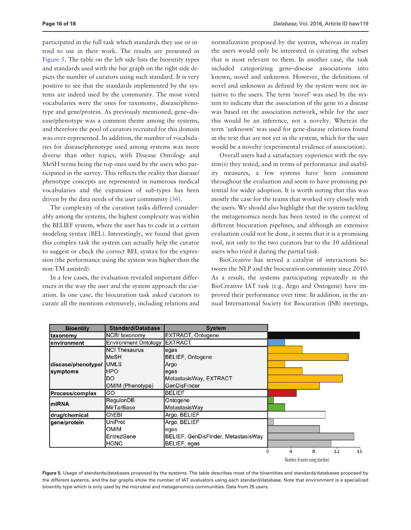participated in the full task which standards they use or intend to use in their work. The results are presented in Figure 5. The table on the left side lists the bioentity types and standards used with the bar graph on the right side depicts the number of curators using such standard. It is very positive to see that the standards implemented by the systems are indeed used by the community. The most voted vocabularies were the ones for taxonomy, disease/phenotype and gene/protein. As previously mentioned, gene–disease/phenotype was a common theme among the systems, and therefore the pool of curators recruited for this domain was over-represented. In addition, the number of vocabularies for disease/phenotype used among systems was more diverse than other topics, with Disease Ontology and MeSH terms being the top ones used by the users who participated in the survey. This reflects the reality that disease/ phenotype concepts are represented in numerous medical vocabularies and the expansion of sub-types has been driven by the data needs of the user community ([36\)](#page-17-0).

The complexity of the curation tasks differed considerably among the systems, the highest complexity was within the BELIEF system, where the user has to code in a certain modeling syntax (BEL). Interestingly, we found that given this complex task the system can actually help the curator to suggest or check the correct BEL syntax for the expression (the performance using the system was higher than the non-TM assisted).

In a few cases, the evaluation revealed important differences in the way the user and the system approach the curation. In one case, the biocuration task asked curators to curate all the mentions extensively, including relations and

normalization proposed by the system, whereas in reality the users would only be interested in curating the subset that is most relevant to them. In another case, the task included categorizing gene–disease associations into known, novel and unknown. However, the definitions of novel and unknown as defined by the system were not intuitive to the users. The term 'novel' was used by the system to indicate that the association of the gene to a disease was based on the association network, while for the user this would be an inference, not a novelty. Whereas the term 'unknown' was used for gene-disease relations found in the text that are not yet in the system, which for the user would be a novelty (experimental evidence of association).

Overall users had a satisfactory experience with the system(s) they tested, and in terms of performance and usability measures, a few systems have been consistent throughout the evaluation and seem to have promising potential for wider adoption. It is worth noting that this was mostly the case for the teams that worked very closely with the users. We should also highlight that the system tackling the metagenomics needs has been tested in the context of different biocuration pipelines, and although an extensive evaluation could not be done, it seems that it is a promising tool, not only to the two curators but to the 10 additional users who tried it during the partial task.

BioCreative has served a catalyst of interactions between the NLP and the biocuration community since 2010. As a result, the systems participating repeatedly in the BioCreative IAT task (e.g. Argo and Ontogene) have improved their performance over time. In addition, in the annual International Society for Biocuration (ISB) meetings,

| <b>Bioentity</b>   | <b>Standard/Database</b>    | <b>System</b>                       |                                |  |              |    |    |
|--------------------|-----------------------------|-------------------------------------|--------------------------------|--|--------------|----|----|
| Itaxonomy          | <b>NCBI taxonomy</b>        | <b>EXTRACT, Ontogene</b>            |                                |  |              |    |    |
| lenvironment       | <b>Environment Ontology</b> | <b>IEXTRACT</b>                     |                                |  |              |    |    |
|                    | <b>NCI Thesaurus</b>        | egas                                |                                |  |              |    |    |
|                    | <b>MeSH</b>                 | <b>BELIEF, Ontogene</b>             |                                |  |              |    |    |
| disease/phenotype/ | <b>UMLS</b>                 | Argo                                |                                |  |              |    |    |
| symptoms           | <b>HPO</b>                  | egas                                |                                |  |              |    |    |
|                    | DO                          | MetastasisWay, EXTRACT              |                                |  |              |    |    |
|                    | OMIM (Phenotype)            | <b>GenDisFinder</b>                 |                                |  |              |    |    |
| Process/complex    | GO                          | <b>BELIEF</b>                       |                                |  |              |    |    |
| <b>miRNA</b>       | RegulonDB                   | Ontogene                            |                                |  |              |    |    |
|                    | <b>MirTarBase</b>           | MetastasisWay                       |                                |  |              |    |    |
| drug/chemical      | ChEBI                       | Argo, BELIEF                        |                                |  |              |    |    |
| gene/protein       | UniProt                     | Argo, BELIEF                        |                                |  |              |    |    |
|                    | <b>OMIM</b>                 | egas                                |                                |  |              |    |    |
|                    | EntrezGene                  | BELIEF, GenDisFinder, MetastasisWay |                                |  |              |    |    |
|                    | <b>HGNC</b>                 | BELIEF, egas                        |                                |  |              |    |    |
|                    |                             |                                     |                                |  | $\mathsf{R}$ | 12 | 16 |
|                    |                             |                                     | Number of users using standard |  |              |    |    |

Figure 5. Usage of standards/databases proposed by the systems. The table describes most of the bioentities and standards/databases proposed by the different systems, and the bar graphs show the number of IAT evaluators using each standard/database. Note that environment is a specialized bioentity type which is only used by the microbial and metagenomics communities. Data from 25 users.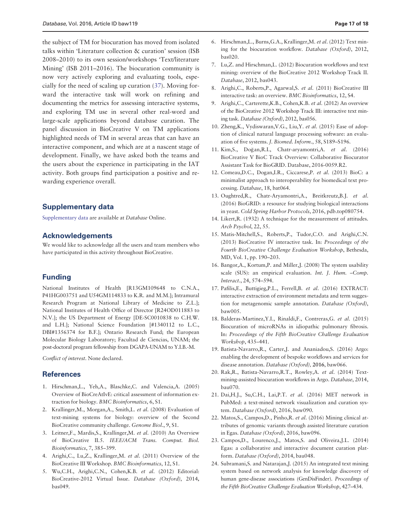<span id="page-16-0"></span>the subject of TM for biocuration has moved from isolated talks within 'Literature collection & curation' session (ISB 2008–2010) to its own session/workshops 'Text/literature Mining' (ISB 2011–2016). The biocuration community is now very actively exploring and evaluating tools, especially for the need of scaling up curation ([37](#page-17-0)). Moving forward the interactive task will work on refining and documenting the metrics for assessing interactive systems, and exploring TM use in several other real-word and large-scale applications beyond database curation. The panel discussion in BioCreative V on TM applications highlighted needs of TM in several areas that can have an interactive component, and which are at a nascent stage of development. Finally, we have asked both the teams and the users about the experience in participating in the IAT activity. Both groups find participation a positive and rewarding experience overall.

#### Supplementary data

[Supplementary data](http://database.oxfordjournals.org/lookup/suppl/doi:10.1093/database/baw119/-/DC1) are available at Database Online.

#### Acknowledgements

We would like to acknowledge all the users and team members who have participated in this activity throughout BioCreative.

#### **Funding**

National Institutes of Health [R13GM109648 to C.N.A., P41HG003751 and U54GM114833 to K.R. and M.M.]; Intramural Research Program at National Library of Medicine to Z.L.]; National Institutes of Health Office of Director [R24OD011883 to N.V.]; the US Department of Energy [DE-SC0010838 to C.H.W. and L.H.]; National Science Foundation [#1340112 to L.C., DBI#1356374 for B.F.]; Ontario Research Fund; the European Molecular Biology Laboratory; Facultad de Ciencias, UNAM; the post-doctoral program fellowship from DGAPA-UNAM to Y.I.B.-M.

Conflict of interest. None declared.

#### References

- 1. Hirschman,L., Yeh,A., Blaschke,C. and Valencia,A. (2005) Overview of BioCreAtIvE: critical assessment of information extraction for biology. BMC Bioinformatics, 6, S1.
- 2. Krallinger,M., Morgan,A., Smith,L. et al. (2008) Evaluation of text-mining systems for biology: overview of the Second BioCreative community challenge. Genome Biol., 9, S1.
- 3. Leitner,F., Mardis,S., Krallinger,M. et al. (2010) An Overview of BioCreative II.5. IEEE/ACM Trans. Comput. Biol. Bioinformatics, 7, 385–399.
- 4. Arighi,C., Lu,Z., Krallinger,M. et al. (2011) Overview of the BioCreative III Workshop. BMC Bioinformatics, 12, S1.
- 5. Wu,C.H., Arighi,C.N., Cohen,K.B. et al. (2012) Editorial: BioCreative-2012 Virtual Issue. Database (Oxford), 2014, bas049.
- 7. Lu,Z. and Hirschman,L. (2012) Biocuration workflows and text mining: overview of the BioCreative 2012 Workshop Track II. Database, 2012, bas043.
- 8. Arighi, C., Roberts, P., Agarwal, S. et al. (2011) BioCreative III interactive task: an overview. BMC Bioinformatics, 12, S4.
- 9. Arighi,C., Carterette,K.B., Cohen,K.B. et al. (2012) An overview of the BioCreative 2012 Workshop Track III: interactive text mining task. Database (Oxford), 2012, bas056.
- 10. Zheng,K., Vydiswaran,V.G., Liu,Y. et al. (2015) Ease of adoption of clinical natural language processing software: an evaluation of five systems. J. Biomed. Inform., 58, S189–S196.
- 11. Kim,S., Dogan,R.I., Chatr-aryamontri,A. et al. (2016) BioCreative V BioC Track Overview: Collaborative Biocurator Assistant Task for BioGRID. Database, 2016-0059.R2.
- 12. Comeau,D.C., Dogan,I.R., Ciccarese,P. et al. (2013) BioC: a minimalist approach to interoperability for biomedical text processing. Database, 18, bat064.
- 13. Oughtred,R., Chatr-Aryamontri,A., Breitkreutz,B.J. et al. (2016) BioGRID: a resource for studying biological interactions in yeast. Cold Spring Harbor Protocols, 2016, pdb.top080754.
- 14. Likert,R. (1932) A technique for the measurement of attitudes. Arch Psychol, 22, 55.
- 15. Matis-Mitchell,S., Roberts,P., Tudor,C.O. and Arighi,C.N. (2013) BioCreative IV interactive task. In: Proceedings of the Fourth BioCreative Challenge Evaluation Workshop, Bethesda, MD, Vol. 1, pp. 190–203.
- 16. Bangor,A., Kortum,P. and Miller,J. (2008) The system usability scale (SUS): an empirical evaluation. Int. J. Hum. -Comp. Interact., 24, 574–594.
- 17. Pafilis,E., Buttigieg,P.L., Ferrell,B. et al. (2016) EXTRACT: interactive extraction of environment metadata and term suggestion for metagenomic sample annotation. Database (Oxford), baw005.
- 18. Balderas-Martinez,Y.I., Rinaldi,F., Contreras,G. et al. (2015) Biocuration of microRNAs in idiopathic pulmonary fibrosis. In: Proceedings of the Fifth BioCreative Challenge Evaluation Workshop, 435–441.
- 19. Batista-Navarro,R., Carter,J. and Ananiadou,S. (2016) Argo: enabling the development of bespoke workflows and services for disease annotation. Database (Oxford), 2016, baw066.
- 20. Rak,R., Batista-Navarro,R.T., Rowley,A. et al. (2014) Textmining-assisted biocuration workflows in Argo. Database, 2014, bau070.
- 21. Dai,H.J., Su,C.H., Lai,P.T. et al. (2016) MET network in PubMed: a text-mined network visualization and curation system. Database (Oxford), 2016, baw090.
- 22. Matos,S., Campos,D., Pinho,R. et al. (2016) Mining clinical attributes of genomic variants through assisted literature curation in Egas. Database (Oxford), 2016, baw096.
- 23. Campos,D., Lourenco,J., Matos,S. and Oliveira,J.L. (2014) Egas: a collaborative and interactive document curation platform. Database (Oxford), 2014, bau048.
- 24. Subramani,S. and Natarajan,J. (2015) An integrated text mining system based on network analysis for knowledge discovery of human gene-disease associations (GenDisFinder). Proceedings of the Fifth BioCreative Challenge Evaluation Workshop, 427–434.